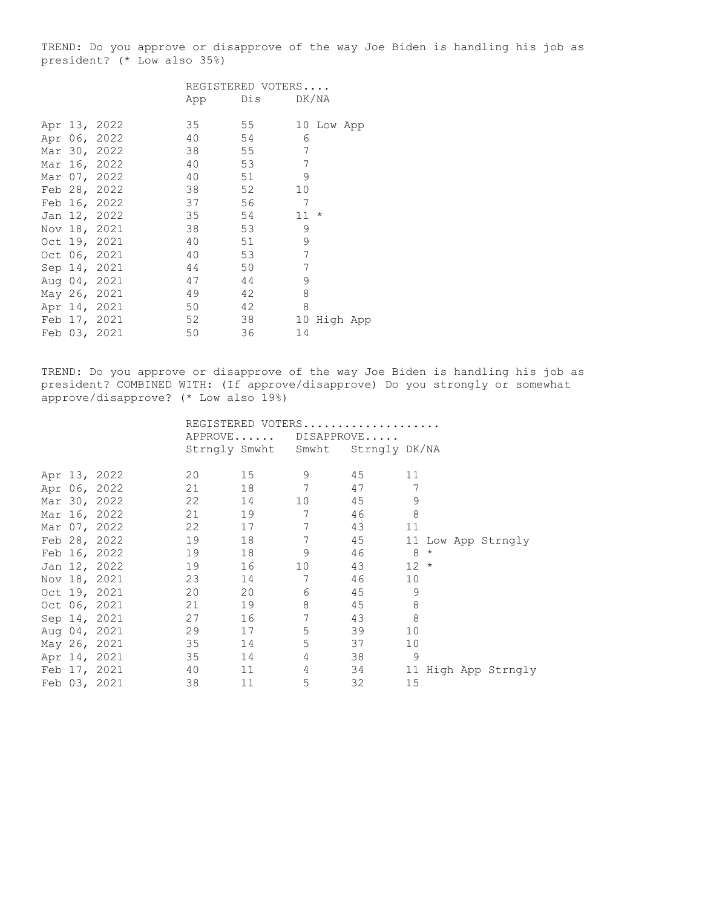TREND: Do you approve or disapprove of the way Joe Biden is handling his job as president? (\* Low also 35%)

|  |              |     | REGISTERED VOTERS |                |            |  |
|--|--------------|-----|-------------------|----------------|------------|--|
|  |              | App | Dis               |                | DK/NA      |  |
|  |              |     |                   |                |            |  |
|  | Apr 13, 2022 | 35  | 55                |                | 10 Low App |  |
|  | Apr 06, 2022 | 40  | 54                | 6              |            |  |
|  | Mar 30, 2022 | 38  | 55                | 7              |            |  |
|  | Mar 16, 2022 | 40  | 53                | 7              |            |  |
|  | Mar 07, 2022 | 40  | 51                | 9              |            |  |
|  | Feb 28, 2022 | 38  | 52                | 10             |            |  |
|  | Feb 16, 2022 | 37  | 56                | $\overline{7}$ |            |  |
|  | Jan 12, 2022 | 35  | 54                | $11 *$         |            |  |
|  | Nov 18, 2021 | 38  | 53                | 9              |            |  |
|  | Oct 19, 2021 | 40  | 51                | 9              |            |  |
|  | Oct 06, 2021 | 40  | 53                | 7              |            |  |
|  | Sep 14, 2021 | 44  | 50                | 7              |            |  |
|  | Aug 04, 2021 | 47  | 44                | 9              |            |  |
|  | May 26, 2021 | 49  | 42                | 8              |            |  |
|  | Apr 14, 2021 | 50  | 42                | 8              |            |  |
|  | Feb 17, 2021 | 52  | 38                | 10             | High App   |  |
|  | Feb 03, 2021 | 50  | 36                | 14             |            |  |

TREND: Do you approve or disapprove of the way Joe Biden is handling his job as president? COMBINED WITH: (If approve/disapprove) Do you strongly or somewhat approve/disapprove? (\* Low also 19%)

|  |              | REGISTERED VOTERS |    |                                   |       |        |  |                     |
|--|--------------|-------------------|----|-----------------------------------|-------|--------|--|---------------------|
|  |              |                   |    | APPROVE DISAPPROVE                |       |        |  |                     |
|  |              |                   |    | Strngly Smwht Smwht Strngly DK/NA |       |        |  |                     |
|  |              |                   |    |                                   |       |        |  |                     |
|  | Apr 13, 2022 | 20                | 15 | 9                                 | 45 11 |        |  |                     |
|  | Apr 06, 2022 | 21                | 18 | 7                                 | 47    | 7      |  |                     |
|  | Mar 30, 2022 | 22                | 14 | 10                                | 45    | 9      |  |                     |
|  | Mar 16, 2022 |                   | 19 | 7                                 | 46    | 8      |  |                     |
|  | Mar 07, 2022 | 22                |    | 7                                 | 43    | 11     |  |                     |
|  | Feb 28, 2022 | 19                | 18 | 7                                 | 45    |        |  | 11 Low App Strngly  |
|  | Feb 16, 2022 | 19                | 18 | 9                                 | 46    | $8*$   |  |                     |
|  | Jan 12, 2022 | 19                | 16 | 10 <sup>°</sup>                   | 43    | $12 *$ |  |                     |
|  | Nov 18, 2021 | 23                | 14 | 7                                 | 46    | 10     |  |                     |
|  | Oct 19, 2021 | 20                | 20 | 6                                 | 45    | 9      |  |                     |
|  | Oct 06, 2021 | 21                | 19 | 8                                 | 45    | 8      |  |                     |
|  | Sep 14, 2021 | 27                | 16 | 7                                 | 43    | 8      |  |                     |
|  | Aug 04, 2021 | 29                | 17 | 5                                 | 39    | 10     |  |                     |
|  | May 26, 2021 | 35                | 14 | 5                                 | 37    | 10     |  |                     |
|  | Apr 14, 2021 | 35                | 14 | 4                                 | 38    | 9      |  |                     |
|  | Feb 17, 2021 | 40                | 11 | $\overline{4}$                    | 34    |        |  | 11 High App Strngly |
|  | Feb 03, 2021 | 38                | 11 | 5                                 | 32    | 15     |  |                     |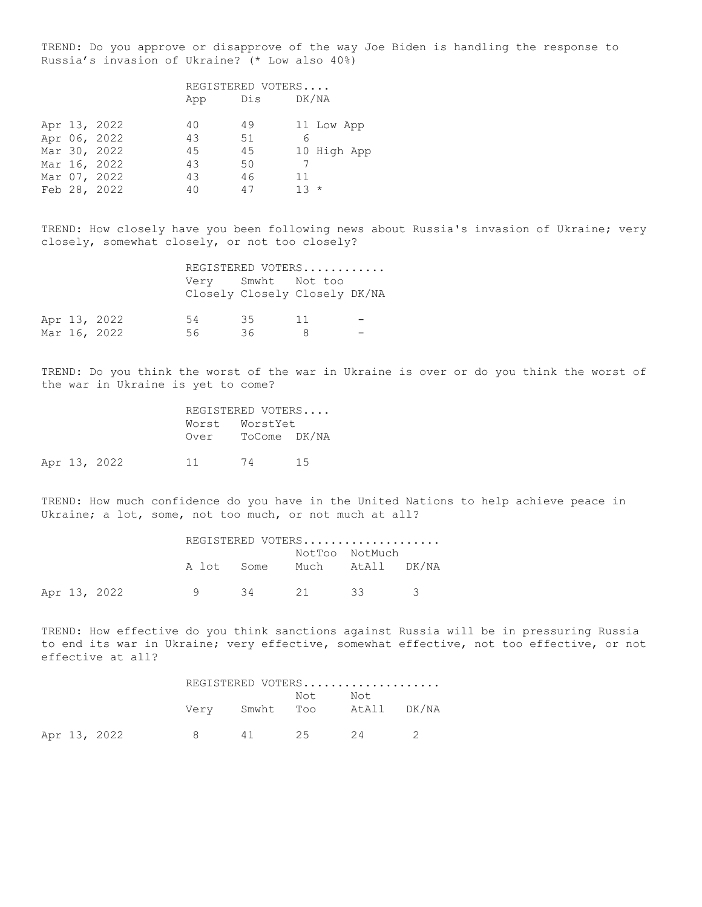TREND: Do you approve or disapprove of the way Joe Biden is handling the response to Russia's invasion of Ukraine? (\* Low also 40%)

|  |              | REGISTERED VOTERS |     |             |  |  |
|--|--------------|-------------------|-----|-------------|--|--|
|  |              | App               | Dis | DK/NA       |  |  |
|  | Apr 13, 2022 | 40                | 49  | 11 Low App  |  |  |
|  | Apr 06, 2022 | 43                | 51  | 6           |  |  |
|  | Mar 30, 2022 | 45                | 45  | 10 High App |  |  |
|  | Mar 16, 2022 | 43                | 50  |             |  |  |
|  | Mar 07, 2022 | 43                | 46  | 11          |  |  |
|  | Feb 28, 2022 | 40                | 47  | $13 *$      |  |  |

TREND: How closely have you been following news about Russia's invasion of Ukraine; very closely, somewhat closely, or not too closely?

|  |              |                               |                    | REGISTERED VOTERS |  |
|--|--------------|-------------------------------|--------------------|-------------------|--|
|  |              | Closely Closely Closely DK/NA | Very Smwht Not too |                   |  |
|  | Apr 13, 2022 | 54                            | - 35               | $-11$             |  |
|  | Mar 16, 2022 | 56                            | 36.                |                   |  |

TREND: Do you think the worst of the war in Ukraine is over or do you think the worst of the war in Ukraine is yet to come?

|      | REGISTERED VOTERS |  |
|------|-------------------|--|
|      | Worst WorstYet    |  |
| Over | ToCome DK/NA      |  |

Apr 13, 2022 11 74 15

TREND: How much confidence do you have in the United Nations to help achieve peace in Ukraine; a lot, some, not too much, or not much at all?

|  |              |                       |  | REGISTERED VOTERS |  |
|--|--------------|-----------------------|--|-------------------|--|
|  |              |                       |  | NotToo NotMuch    |  |
|  |              | A lot Some            |  | Much AtAll DK/NA  |  |
|  | Apr 13, 2022 | $\alpha$ and $\alpha$ |  | 34 21 33 3        |  |

TREND: How effective do you think sanctions against Russia will be in pressuring Russia to end its war in Ukraine; very effective, somewhat effective, not too effective, or not effective at all?

|  |              |              |         | REGISTERED VOTERS          |  |
|--|--------------|--------------|---------|----------------------------|--|
|  |              |              | Not Not | Very Smwht Too AtAll DK/NA |  |
|  | Apr 13, 2022 | $\mathsf{R}$ |         | 41 25 24 2                 |  |